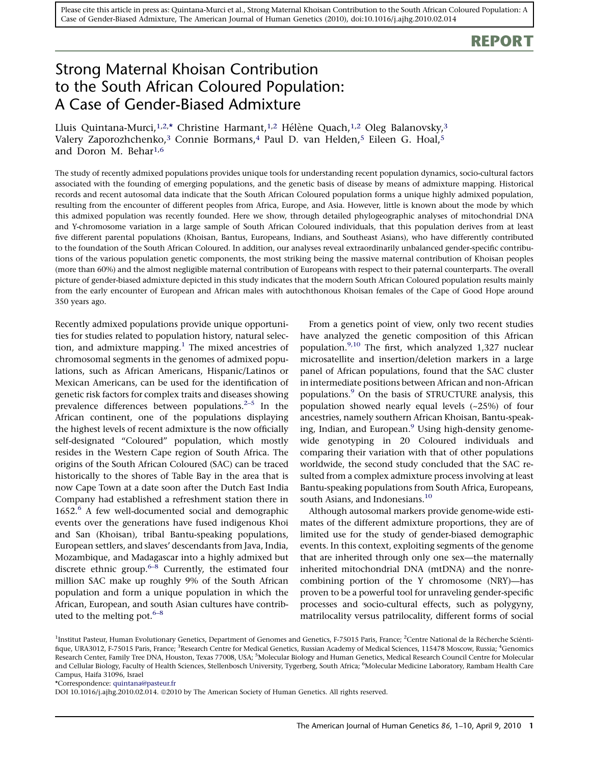## REPORT

# Strong Maternal Khoisan Contribution to the South African Coloured Population: A Case of Gender-Biased Admixture

Lluis Quintana-Murci,<sup>1,2,\*</sup> Christine Harmant,<sup>1,2</sup> Hélène Quach,<sup>1,2</sup> Oleg Balanovsky,<sup>3</sup> Valery Zaporozhchenko,<sup>3</sup> Connie Bormans,<sup>4</sup> Paul D. van Helden,<sup>5</sup> Eileen G. Hoal,<sup>5</sup> and Doron M. Behar<sup>1,6</sup>

The study of recently admixed populations provides unique tools for understanding recent population dynamics, socio-cultural factors associated with the founding of emerging populations, and the genetic basis of disease by means of admixture mapping. Historical records and recent autosomal data indicate that the South African Coloured population forms a unique highly admixed population, resulting from the encounter of different peoples from Africa, Europe, and Asia. However, little is known about the mode by which this admixed population was recently founded. Here we show, through detailed phylogeographic analyses of mitochondrial DNA and Y-chromosome variation in a large sample of South African Coloured individuals, that this population derives from at least five different parental populations (Khoisan, Bantus, Europeans, Indians, and Southeast Asians), who have differently contributed to the foundation of the South African Coloured. In addition, our analyses reveal extraordinarily unbalanced gender-specific contributions of the various population genetic components, the most striking being the massive maternal contribution of Khoisan peoples (more than 60%) and the almost negligible maternal contribution of Europeans with respect to their paternal counterparts. The overall picture of gender-biased admixture depicted in this study indicates that the modern South African Coloured population results mainly from the early encounter of European and African males with autochthonous Khoisan females of the Cape of Good Hope around 350 years ago.

Recently admixed populations provide unique opportunities for studies related to population history, natural selection, and admixture mapping. $<sup>1</sup>$  $<sup>1</sup>$  $<sup>1</sup>$  The mixed ancestries of</sup> chromosomal segments in the genomes of admixed populations, such as African Americans, Hispanic/Latinos or Mexican Americans, can be used for the identification of genetic risk factors for complex traits and diseases showing prevalence differences between populations. $2-5$  In the African continent, one of the populations displaying the highest levels of recent admixture is the now officially self-designated "Coloured" population, which mostly resides in the Western Cape region of South Africa. The origins of the South African Coloured (SAC) can be traced historically to the shores of Table Bay in the area that is now Cape Town at a date soon after the Dutch East India Company had established a refreshment station there in  $1652<sup>6</sup>$  $1652<sup>6</sup>$  $1652<sup>6</sup>$  A few well-documented social and demographic events over the generations have fused indigenous Khoi and San (Khoisan), tribal Bantu-speaking populations, European settlers, and slaves' descendants from Java, India, Mozambique, and Madagascar into a highly admixed but discrete ethnic group.<sup> $6-8$ </sup> Currently, the estimated four million SAC make up roughly 9% of the South African population and form a unique population in which the African, European, and south Asian cultures have contributed to the melting pot.  $6-8$ 

From a genetics point of view, only two recent studies have analyzed the genetic composition of this African population.[9,10](#page-7-0) The first, which analyzed 1,327 nuclear microsatellite and insertion/deletion markers in a large panel of African populations, found that the SAC cluster in intermediate positions between African and non-African populations[.9](#page-7-0) On the basis of STRUCTURE analysis, this population showed nearly equal levels (~25%) of four ancestries, namely southern African Khoisan, Bantu-speak-ing, Indian, and European.<sup>[9](#page-7-0)</sup> Using high-density genomewide genotyping in 20 Coloured individuals and comparing their variation with that of other populations worldwide, the second study concluded that the SAC resulted from a complex admixture process involving at least Bantu-speaking populations from South Africa, Europeans, south Asians, and Indonesians.<sup>[10](#page-7-0)</sup>

Although autosomal markers provide genome-wide estimates of the different admixture proportions, they are of limited use for the study of gender-biased demographic events. In this context, exploiting segments of the genome that are inherited through only one sex—the maternally inherited mitochondrial DNA (mtDNA) and the nonrecombining portion of the Y chromosome (NRY)—has proven to be a powerful tool for unraveling gender-specific processes and socio-cultural effects, such as polygyny, matrilocality versus patrilocality, different forms of social

<sup>1</sup>Institut Pasteur, Human Evolutionary Genetics, Department of Genomes and Genetics, F-75015 Paris, France; <sup>2</sup>Centre National de la Récherche Scièntifique, URA3012, F-75015 Paris, France; <sup>3</sup>Research Centre for Medical Genetics, Russian Academy of Medical Sciences, 115478 Moscow, Russia; <sup>4</sup>Genomics Research Center, Family Tree DNA, Houston, Texas 77008, USA; <sup>5</sup>Molecular Biology and Human Genetics, Medical Research Council Centre for Molecular and Cellular Biology, Faculty of Health Sciences, Stellenbosch University, Tygerberg, South Africa; <sup>6</sup>Molecular Medicine Laboratory, Rambam Health Care Campus, Haifa 31096, Israel

\*Correspondence: [quintana@pasteur.fr](mailto:quintana@pasteur.fr)

DOI 10.1016/j.ajhg.2010.02.014. @2010 by The American Society of Human Genetics. All rights reserved.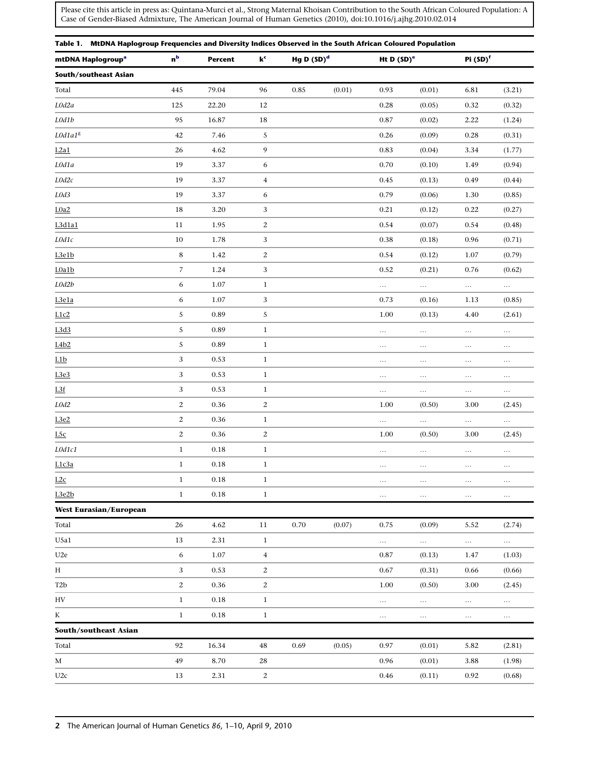<span id="page-1-0"></span>

| Table 1. MtDNA Haplogroup Frequencies and Diversity Indices Observed in the South African Coloured Population |                         |                |                           |               |        |               |          |                      |          |
|---------------------------------------------------------------------------------------------------------------|-------------------------|----------------|---------------------------|---------------|--------|---------------|----------|----------------------|----------|
| mtDNA Haplogroup <sup>a</sup>                                                                                 | n <sup>b</sup>          | <b>Percent</b> | $\mathbf{k}^{\mathsf{c}}$ | Hg D $(SD)^d$ |        | Ht D $(SD)^e$ |          | Pi (SD) <sup>f</sup> |          |
| South/southeast Asian                                                                                         |                         |                |                           |               |        |               |          |                      |          |
| Total                                                                                                         | 445                     | 79.04          | 96                        | 0.85          | (0.01) | 0.93          | (0.01)   | 6.81                 | (3.21)   |
| L0d2a                                                                                                         | 125                     | 22.20          | 12                        |               |        | 0.28          | (0.05)   | 0.32                 | (0.32)   |
| L0d1b                                                                                                         | 95                      | 16.87          | 18                        |               |        | 0.87          | (0.02)   | 2.22                 | (1.24)   |
| ${\it L0d1a1^g}$                                                                                              | 42                      | 7.46           | 5                         |               |        | 0.26          | (0.09)   | 0.28                 | (0.31)   |
| L2a1                                                                                                          | 26                      | 4.62           | 9                         |               |        | 0.83          | (0.04)   | 3.34                 | (1.77)   |
| L0d1a                                                                                                         | 19                      | 3.37           | 6                         |               |        | 0.70          | (0.10)   | 1.49                 | (0.94)   |
| L0d2c                                                                                                         | 19                      | 3.37           | $\overline{4}$            |               |        | 0.45          | (0.13)   | 0.49                 | (0.44)   |
| L0d3                                                                                                          | 19                      | 3.37           | 6                         |               |        | 0.79          | (0.06)   | 1.30                 | (0.85)   |
| LOa2                                                                                                          | 18                      | 3.20           | 3                         |               |        | 0.21          | (0.12)   | 0.22                 | (0.27)   |
| L3d1a1                                                                                                        | 11                      | 1.95           | $\mathbf{2}$              |               |        | 0.54          | (0.07)   | 0.54                 | (0.48)   |
| L0d1c                                                                                                         | 10                      | 1.78           | 3                         |               |        | 0.38          | (0.18)   | 0.96                 | (0.71)   |
| L3e1b                                                                                                         | $\bf 8$                 | 1.42           | $\boldsymbol{2}$          |               |        | 0.54          | (0.12)   | 1.07                 | (0.79)   |
| L0a1b                                                                                                         | 7                       | 1.24           | 3                         |               |        | 0.52          | (0.21)   | 0.76                 | (0.62)   |
| L0d2b                                                                                                         | 6                       | 1.07           | $\mathbf{1}$              |               |        | $\ldots$      | $\ldots$ | $\ldots$             | $\ldots$ |
| L3e1a                                                                                                         | 6                       | 1.07           | 3                         |               |        | 0.73          | (0.16)   | 1.13                 | (0.85)   |
| L1c2                                                                                                          | 5                       | 0.89           | 5                         |               |        | 1.00          | (0.13)   | 4.40                 | (2.61)   |
| L3d3                                                                                                          | 5                       | 0.89           | $\mathbf{1}$              |               |        | $\ldots$      | $\ldots$ | $\dots$              | $\ldots$ |
| L4b2                                                                                                          | 5                       | 0.89           | $\mathbf{1}$              |               |        | $\ldots$      | $\ldots$ | $\ldots$             | $\ldots$ |
| L1b                                                                                                           | 3                       | 0.53           | $\mathbf{1}$              |               |        | $\ldots$      | $\ldots$ | $\ldots$             | $\ldots$ |
| L3e3                                                                                                          | 3                       | 0.53           | $\mathbf{1}$              |               |        | $\ldots$      | $\ldots$ | $\ldots$             | $\ldots$ |
| L3f                                                                                                           | 3                       | 0.53           | $\mathbf{1}$              |               |        | $\ldots$      | $\ldots$ | $\ldots$             | $\ldots$ |
| L0d2                                                                                                          | $\overline{\mathbf{c}}$ | 0.36           | $\sqrt{2}$                |               |        | 1.00          | (0.50)   | 3.00                 | (2.45)   |
| L3e2                                                                                                          | $\boldsymbol{2}$        | 0.36           | $\mathbf{1}$              |               |        | $\ldots$      | $\ldots$ | $\ldots$             | $\ldots$ |
| L5c                                                                                                           | $\boldsymbol{2}$        | 0.36           | $\sqrt{2}$                |               |        | 1.00          | (0.50)   | 3.00                 | (2.45)   |
| ${\it LOdd1c1}$                                                                                               | $1\,$                   | $\rm 0.18$     | $\mathbf{1}$              |               |        | $\cdots$      | $\ldots$ | $\ldots$             | $\ldots$ |
| L1c3a                                                                                                         | $\mathbf{1}$            | $0.18\,$       | $\mathbf{1}$              |               |        | $\ldots$      | $\ldots$ | $\ldots$             | $\ldots$ |
| L2c                                                                                                           | $\mathbf{1}$            | $0.18\,$       | $1\,$                     |               |        | $\ldots$      | $\ldots$ | $\ldots$             | $\ldots$ |
| L3e2b                                                                                                         | $\mathbf{1}$            | 0.18           | $1\,$                     |               |        | $\cdots$      | $\ldots$ | $\cdots$             | $\cdots$ |
| <b>West Eurasian/European</b>                                                                                 |                         |                |                           |               |        |               |          |                      |          |
| Total                                                                                                         | 26                      | 4.62           | 11                        | 0.70          | (0.07) | 0.75          | (0.09)   | 5.52                 | (2.74)   |
| U5a1                                                                                                          | 13                      | 2.31           | $\mathbf{1}$              |               |        | $\ldots$      | $\ldots$ | $\ldots$             | $\ldots$ |
| U2e                                                                                                           | 6                       | 1.07           | $\overline{4}$            |               |        | 0.87          | (0.13)   | 1.47                 | (1.03)   |
| H                                                                                                             | 3                       | 0.53           | 2                         |               |        | 0.67          | (0.31)   | 0.66                 | (0.66)   |
| T <sub>2</sub> b                                                                                              | 2                       | 0.36           | $\mathbf{2}$              |               |        | 1.00          | (0.50)   | 3.00                 | (2.45)   |
| HV                                                                                                            | $\mathbf{1}$            | 0.18           | $\mathbf{1}$              |               |        | $\ldots$      | $\ldots$ | $\ldots$             | $\ldots$ |
| K                                                                                                             | $\mathbf{1}$            | 0.18           | $\mathbf{1}$              |               |        | $\ldots$      | $\ldots$ | $\ldots$             | $\ldots$ |
| South/southeast Asian                                                                                         |                         |                |                           |               |        |               |          |                      |          |
| Total                                                                                                         | 92                      | 16.34          | 48                        | 0.69          | (0.05) | 0.97          | (0.01)   | 5.82                 | (2.81)   |
| M                                                                                                             | 49                      | 8.70           | 28                        |               |        | 0.96          | (0.01)   | 3.88                 | (1.98)   |
| U2c                                                                                                           | 13                      | 2.31           | $\mathbf{2}$              |               |        | 0.46          | (0.11)   | 0.92                 | (0.68)   |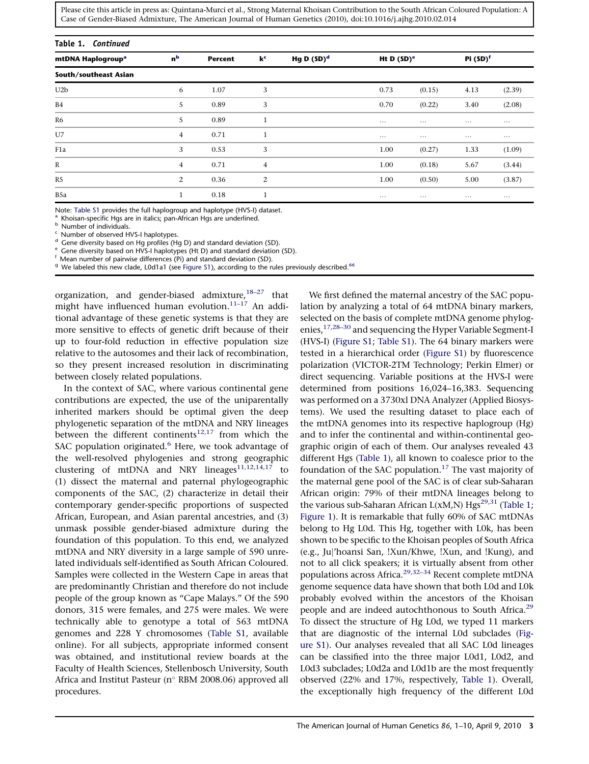<span id="page-2-0"></span>

| Table 1. Continued            |                |                |                           |               |               |          |                      |          |  |
|-------------------------------|----------------|----------------|---------------------------|---------------|---------------|----------|----------------------|----------|--|
| mtDNA Haplogroup <sup>a</sup> | n <sup>b</sup> | <b>Percent</b> | $\mathbf{k}^{\mathsf{c}}$ | Hg D $(SD)^d$ | Ht D $(SD)^e$ |          | Pi (SD) <sup>f</sup> |          |  |
| South/southeast Asian         |                |                |                           |               |               |          |                      |          |  |
| U <sub>2</sub> b              | 6              | 1.07           | 3                         |               | 0.73          | (0.15)   | 4.13                 | (2.39)   |  |
| B <sub>4</sub>                | 5              | 0.89           | 3                         |               | 0.70          | (0.22)   | 3.40                 | (2.08)   |  |
| R6                            | 5              | 0.89           |                           |               | $\cdots$      | $\cdots$ | $\cdots$             | $\cdots$ |  |
| U7                            | $\overline{4}$ | 0.71           |                           |               | $\cdots$      | $\cdots$ | $\cdots$             | $\cdots$ |  |
| F <sub>1</sub> a              | 3              | 0.53           | 3                         |               | 1.00          | (0.27)   | 1.33                 | (1.09)   |  |
| $\mathbb{R}$                  | $\overline{4}$ | 0.71           | $\overline{4}$            |               | 1.00          | (0.18)   | 5.67                 | (3.44)   |  |
| R5                            | 2              | 0.36           | 2                         |               | 1.00          | (0.50)   | 5.00                 | (3.87)   |  |
| B5a                           |                | 0.18           |                           |               | $\cdots$      | $\cdots$ | $\cdots$             | $\cdots$ |  |

Note: Table S1 provides the full haplogroup and haplotype (HVS-I) dataset.<br><sup>a</sup> Khoisan-specific Hgs are in italics; pan-African Hgs are underlined.<br><sup>b</sup> Number of individuals.<br><sup>c</sup> Number of observed HVS-I haplotypes.<br><sup>d</sup> G

<sup>g</sup> We labeled this new clade, L0d1a1 (see Figure S1), according to the rules previously described.<sup>[66](#page-9-0)</sup>

organization, and gender-biased admixture,  $18-27$  that might have influenced human evolution. $11-17$  An additional advantage of these genetic systems is that they are more sensitive to effects of genetic drift because of their up to four-fold reduction in effective population size relative to the autosomes and their lack of recombination, so they present increased resolution in discriminating between closely related populations.

In the context of SAC, where various continental gene contributions are expected, the use of the uniparentally inherited markers should be optimal given the deep phylogenetic separation of the mtDNA and NRY lineages between the different continents<sup>[12,17](#page-8-0)</sup> from which the SAC population originated.<sup>[6](#page-7-0)</sup> Here, we took advantage of the well-resolved phylogenies and strong geographic clustering of mtDNA and NRY lineages<sup>11,12,14</sup>,17 to (1) dissect the maternal and paternal phylogeographic components of the SAC, (2) characterize in detail their contemporary gender-specific proportions of suspected African, European, and Asian parental ancestries, and (3) unmask possible gender-biased admixture during the foundation of this population. To this end, we analyzed mtDNA and NRY diversity in a large sample of 590 unrelated individuals self-identified as South African Coloured. Samples were collected in the Western Cape in areas that are predominantly Christian and therefore do not include people of the group known as ''Cape Malays.'' Of the 590 donors, 315 were females, and 275 were males. We were technically able to genotype a total of 563 mtDNA genomes and 228 Y chromosomes (Table S1, available online). For all subjects, appropriate informed consent was obtained, and institutional review boards at the Faculty of Health Sciences, Stellenbosch University, South Africa and Institut Pasteur (n° RBM 2008.06) approved all procedures.

We first defined the maternal ancestry of the SAC population by analyzing a total of 64 mtDNA binary markers, selected on the basis of complete mtDNA genome phylogenies,[17,28–30](#page-8-0) and sequencing the Hyper Variable Segment-I (HVS-I) (Figure S1; Table S1). The 64 binary markers were tested in a hierarchical order (Figure S1) by fluorescence polarization (VICTOR-2TM Technology; Perkin Elmer) or direct sequencing. Variable positions at the HVS-I were determined from positions 16,024–16,383. Sequencing was performed on a 3730xl DNA Analyzer (Applied Biosystems). We used the resulting dataset to place each of the mtDNA genomes into its respective haplogroup (Hg) and to infer the continental and within-continental geographic origin of each of them. Our analyses revealed 43 different Hgs [\(Table 1](#page-1-0)), all known to coalesce prior to the foundation of the SAC population.<sup>17</sup> The vast majority of the maternal gene pool of the SAC is of clear sub-Saharan African origin: 79% of their mtDNA lineages belong to the various sub-Saharan African  $L(xM,N) Hgs^{29,31}$  [\(Table 1](#page-1-0); [Figure 1\)](#page-3-0). It is remarkable that fully 60% of SAC mtDNAs belong to Hg L0d. This Hg, together with L0k, has been shown to be specific to the Khoisan peoples of South Africa (e.g., Juj'hoansi San, !Xun/Khwe, !Xun, and !Kung), and not to all click speakers; it is virtually absent from other populations across Africa.[29,32–34](#page-8-0) Recent complete mtDNA genome sequence data have shown that both L0d and L0k probably evolved within the ancestors of the Khoisan people and are indeed autochthonous to South Africa.<sup>[29](#page-8-0)</sup> To dissect the structure of Hg L0d, we typed 11 markers that are diagnostic of the internal L0d subclades (Figure S1). Our analyses revealed that all SAC L0d lineages can be classified into the three major L0d1, L0d2, and L0d3 subclades; L0d2a and L0d1b are the most frequently observed (22% and 17%, respectively, [Table 1](#page-1-0)). Overall, the exceptionally high frequency of the different L0d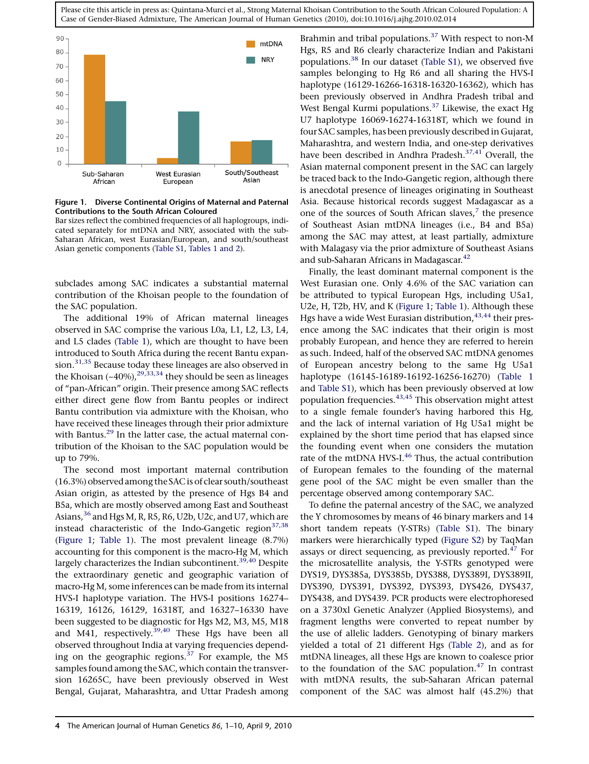<span id="page-3-0"></span>

Figure 1. Diverse Continental Origins of Maternal and Paternal Contributions to the South African Coloured

Bar sizes reflect the combined frequencies of all haplogroups, indicated separately for mtDNA and NRY, associated with the sub-Saharan African, west Eurasian/European, and south/southeast Asian genetic components (Table S1, [Tables 1 and 2\)](#page-1-0).

subclades among SAC indicates a substantial maternal contribution of the Khoisan people to the foundation of the SAC population.

The additional 19% of African maternal lineages observed in SAC comprise the various L0a, L1, L2, L3, L4, and L5 clades [\(Table 1](#page-1-0)), which are thought to have been introduced to South Africa during the recent Bantu expan-sion.<sup>[31,35](#page-8-0)</sup> Because today these lineages are also observed in the Khoisan  $(*40\%)$ ,  $^{29,33,34}$  $^{29,33,34}$  $^{29,33,34}$  they should be seen as lineages of ''pan-African'' origin. Their presence among SAC reflects either direct gene flow from Bantu peoples or indirect Bantu contribution via admixture with the Khoisan, who have received these lineages through their prior admixture with Bantus.<sup>[29](#page-8-0)</sup> In the latter case, the actual maternal contribution of the Khoisan to the SAC population would be up to 79%.

The second most important maternal contribution (16.3%) observed among the SAC is of clear south/southeast Asian origin, as attested by the presence of Hgs B4 and B5a, which are mostly observed among East and Southeast Asians,<sup>[36](#page-8-0)</sup> and Hgs M, R, R5, R6, U2b, U2c, and U7, which are instead characteristic of the Indo-Gangetic region $37,38$ (Figure 1; [Table 1\)](#page-1-0). The most prevalent lineage (8.7%) accounting for this component is the macro-Hg M, which largely characterizes the Indian subcontinent.<sup>[39,40](#page-8-0)</sup> Despite the extraordinary genetic and geographic variation of macro-Hg M, some inferences can be made from its internal HVS-I haplotype variation. The HVS-I positions 16274– 16319, 16126, 16129, 16318T, and 16327–16330 have been suggested to be diagnostic for Hgs M2, M3, M5, M18 and M41, respectively.  $39,40$  These Hgs have been all observed throughout India at varying frequencies depending on the geographic regions. $37$  For example, the M5 samples found among the SAC, which contain the transversion 16265C, have been previously observed in West Bengal, Gujarat, Maharashtra, and Uttar Pradesh among

Brahmin and tribal populations.<sup>[37](#page-8-0)</sup> With respect to non-M Hgs, R5 and R6 clearly characterize Indian and Pakistani populations.<sup>38</sup> In our dataset (Table S1), we observed five samples belonging to Hg R6 and all sharing the HVS-I haplotype (16129-16266-16318-16320-16362), which has been previously observed in Andhra Pradesh tribal and West Bengal Kurmi populations. $37$  Likewise, the exact Hg U7 haplotype 16069-16274-16318T, which we found in four SAC samples, has been previously described in Gujarat, Maharashtra, and western India, and one-step derivatives have been described in Andhra Pradesh.<sup>[37,41](#page-8-0)</sup> Overall, the Asian maternal component present in the SAC can largely be traced back to the Indo-Gangetic region, although there is anecdotal presence of lineages originating in Southeast Asia. Because historical records suggest Madagascar as a one of the sources of South African slaves, $<sup>7</sup>$  $<sup>7</sup>$  $<sup>7</sup>$  the presence</sup> of Southeast Asian mtDNA lineages (i.e., B4 and B5a) among the SAC may attest, at least partially, admixture with Malagasy via the prior admixture of Southeast Asians and sub-Saharan Africans in Madagascar.<sup>42</sup>

Finally, the least dominant maternal component is the West Eurasian one. Only 4.6% of the SAC variation can be attributed to typical European Hgs, including U5a1, U2e, H, T2b, HV, and K (Figure 1; [Table 1](#page-1-0)). Although these Hgs have a wide West Eurasian distribution,  $43,44$  their presence among the SAC indicates that their origin is most probably European, and hence they are referred to herein as such. Indeed, half of the observed SAC mtDNA genomes of European ancestry belong to the same Hg U5a1 haplotype (16145-16189-16192-16256-16270) ([Table 1](#page-1-0) and Table S1), which has been previously observed at low population frequencies.[43,45](#page-9-0) This observation might attest to a single female founder's having harbored this Hg, and the lack of internal variation of Hg U5a1 might be explained by the short time period that has elapsed since the founding event when one considers the mutation rate of the mtDNA HVS-I.<sup>[46](#page-9-0)</sup> Thus, the actual contribution of European females to the founding of the maternal gene pool of the SAC might be even smaller than the percentage observed among contemporary SAC.

To define the paternal ancestry of the SAC, we analyzed the Y chromosomes by means of 46 binary markers and 14 short tandem repeats (Y-STRs) (Table S1). The binary markers were hierarchically typed (Figure S2) by TaqMan assays or direct sequencing, as previously reported. $47$  For the microsatellite analysis, the Y-STRs genotyped were DYS19, DYS385a, DYS385b, DYS388, DYS389I, DYS389II, DYS390, DYS391, DYS392, DYS393, DYS426, DYS437, DYS438, and DYS439. PCR products were electrophoresed on a 3730xl Genetic Analyzer (Applied Biosystems), and fragment lengths were converted to repeat number by the use of allelic ladders. Genotyping of binary markers yielded a total of 21 different Hgs [\(Table 2](#page-4-0)), and as for mtDNA lineages, all these Hgs are known to coalesce prior to the foundation of the SAC population. $47$  In contrast with mtDNA results, the sub-Saharan African paternal component of the SAC was almost half (45.2%) that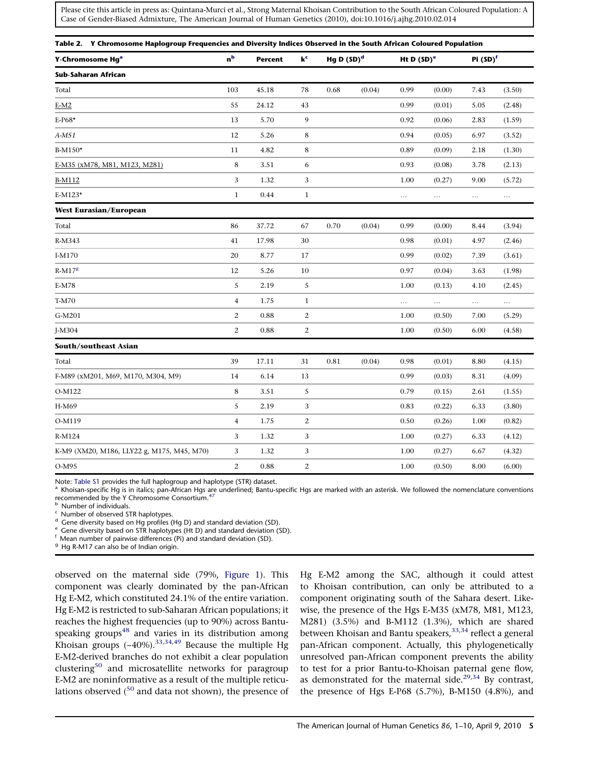<span id="page-4-0"></span>

| Y-Chromosome Hg <sup>a</sup>               | n <sup>b</sup>   | <b>Percent</b> | $\mathbf{k}^{\mathsf{c}}$ | Hg D $(SD)^d$ |        | Ht D $(SD)^e$ |          | Pi (SD) <sup>f</sup> |          |
|--------------------------------------------|------------------|----------------|---------------------------|---------------|--------|---------------|----------|----------------------|----------|
| Sub-Saharan African                        |                  |                |                           |               |        |               |          |                      |          |
| Total                                      | 103              | 45.18          | 78                        | 0.68          | (0.04) | 0.99          | (0.00)   | 7.43                 | (3.50)   |
| $E-M2$                                     | 55               | 24.12          | 43                        |               |        | 0.99          | (0.01)   | 5.05                 | (2.48)   |
| E-P68*                                     | 13               | 5.70           | 9                         |               |        | 0.92          | (0.06)   | 2.83                 | (1.59)   |
| A-M51                                      | 12               | 5.26           | 8                         |               |        | 0.94          | (0.05)   | 6.97                 | (3.52)   |
| B-M150*                                    | $11\,$           | 4.82           | 8                         |               |        | 0.89          | (0.09)   | 2.18                 | (1.30)   |
| E-M35 (xM78, M81, M123, M281)              | $\bf8$           | 3.51           | 6                         |               |        | 0.93          | (0.08)   | 3.78                 | (2.13)   |
| <b>B-M112</b>                              | 3                | 1.32           | 3                         |               |        | 1.00          | (0.27)   | 9.00                 | (5.72)   |
| E-M123*                                    | $\mathbf{1}$     | 0.44           | $\mathbf{1}$              |               |        | $\ldots$      | $\ldots$ | $\ldots$             | $\ldots$ |
| <b>West Eurasian/European</b>              |                  |                |                           |               |        |               |          |                      |          |
| Total                                      | 86               | 37.72          | 67                        | 0.70          | (0.04) | 0.99          | (0.00)   | 8.44                 | (3.94)   |
| R-M343                                     | 41               | 17.98          | 30                        |               |        | 0.98          | (0.01)   | 4.97                 | (2.46)   |
| I-M170                                     | 20               | 8.77           | 17                        |               |        | 0.99          | (0.02)   | 7.39                 | (3.61)   |
| $R-M178$                                   | 12               | 5.26           | 10                        |               |        | 0.97          | (0.04)   | 3.63                 | (1.98)   |
| E-M78                                      | 5                | 2.19           | $\sqrt{5}$                |               |        | 1.00          | (0.13)   | 4.10                 | (2.45)   |
| T-M70                                      | $\overline{4}$   | 1.75           | $\mathbf{1}$              |               |        | $\ldots$      | $\ldots$ | $\ldots$             | $\ldots$ |
| G-M201                                     | $\mathbf{2}$     | 0.88           | $\boldsymbol{2}$          |               |        | 1.00          | (0.50)   | 7.00                 | (5.29)   |
| J-M304                                     | $\boldsymbol{2}$ | 0.88           | $\boldsymbol{2}$          |               |        | 1.00          | (0.50)   | 6.00                 | (4.58)   |
| <b>South/southeast Asian</b>               |                  |                |                           |               |        |               |          |                      |          |
| Total                                      | 39               | 17.11          | 31                        | 0.81          | (0.04) | 0.98          | (0.01)   | 8.80                 | (4.15)   |
| F-M89 (xM201, M69, M170, M304, M9)         | 14               | 6.14           | 13                        |               |        | 0.99          | (0.03)   | 8.31                 | (4.09)   |
| O-M122                                     | $\,$ 8 $\,$      | 3.51           | $\sqrt{5}$                |               |        | 0.79          | (0.15)   | 2.61                 | (1.55)   |
| H-M69                                      | 5                | 2.19           | 3                         |               |        | 0.83          | (0.22)   | 6.33                 | (3.80)   |
| O-M119                                     | $\overline{4}$   | 1.75           | 2                         |               |        | 0.50          | (0.26)   | 1.00                 | (0.82)   |
| R-M124                                     | 3                | 1.32           | 3                         |               |        | 1.00          | (0.27)   | 6.33                 | (4.12)   |
| K-M9 (XM20, M186, LLY22 g, M175, M45, M70) | 3                | 1.32           | 3                         |               |        | 1.00          | (0.27)   | 6.67                 | (4.32)   |
| O-M95                                      | $\mathbf{2}$     | 0.88           | $\overline{c}$            |               |        | 1.00          | (0.50)   | 8.00                 | (6.00)   |

Note: Table S1 provides the full haplogroup and haplotype (STR) dataset.<br>ª Khoisan-specific Hg is in italics; pan-African Hgs are underlined; Bantu-specific Hgs are marked with an asterisk. We followed the nomenclature con recommended by the Y Chromosome Consortium.<sup>[47](#page-9-0)</sup>

<sup>b</sup> Number of individuals.<br>
<sup>c</sup> Number of observed STR haplotypes.<br>
<sup>d</sup> Gene diversity based on STR haplotypes (Hg D) and standard deviation (SD).<br>
<sup>e</sup> Gene diversity based on STR haplotypes (Ht D) and standard deviation

<sup>g</sup> Hg R-M17 can also be of Indian origin.

observed on the maternal side (79%, [Figure 1](#page-3-0)). This component was clearly dominated by the pan-African Hg E-M2, which constituted 24.1% of the entire variation. Hg E-M2 is restricted to sub-Saharan African populations; it reaches the highest frequencies (up to 90%) across Bantu-speaking groups<sup>[48](#page-9-0)</sup> and varies in its distribution among Khoisan groups  $(-40\%)$ .<sup>[33,34,49](#page-8-0)</sup> Because the multiple Hg E-M2-derived branches do not exhibit a clear population clustering<sup>[50](#page-9-0)</sup> and microsatellite networks for paragroup E-M2 are noninformative as a result of the multiple reticulations observed  $(50 \text{ and data not shown})$  $(50 \text{ and data not shown})$  $(50 \text{ and data not shown})$ , the presence of Hg E-M2 among the SAC, although it could attest to Khoisan contribution, can only be attributed to a component originating south of the Sahara desert. Likewise, the presence of the Hgs E-M35 (xM78, M81, M123, M281) (3.5%) and B-M112 (1.3%), which are shared between Khoisan and Bantu speakers,<sup>[33,34](#page-8-0)</sup> reflect a general pan-African component. Actually, this phylogenetically unresolved pan-African component prevents the ability to test for a prior Bantu-to-Khoisan paternal gene flow, as demonstrated for the maternal side.<sup>[29,34](#page-8-0)</sup> By contrast, the presence of Hgs E-P68 (5.7%), B-M150 (4.8%), and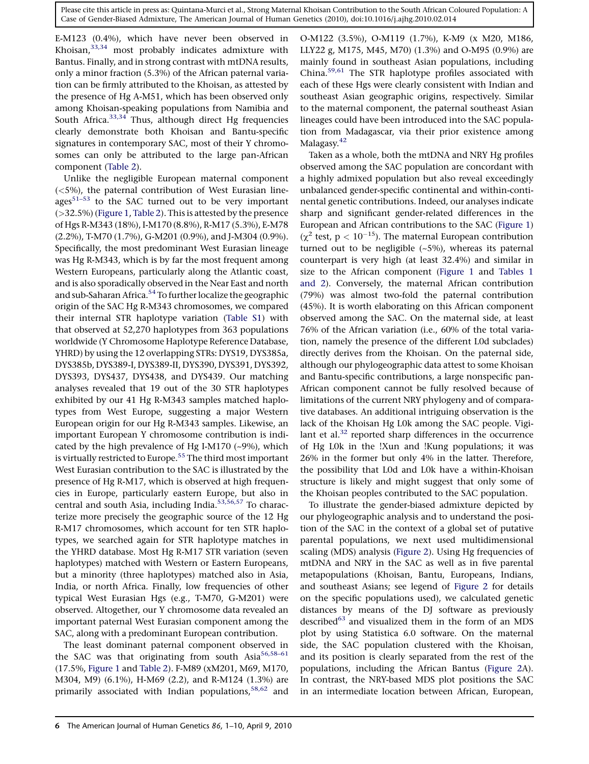E-M123 (0.4%), which have never been observed in Khoisan,[33,34](#page-8-0) most probably indicates admixture with Bantus. Finally, and in strong contrast with mtDNA results, only a minor fraction (5.3%) of the African paternal variation can be firmly attributed to the Khoisan, as attested by the presence of Hg A-M51, which has been observed only among Khoisan-speaking populations from Namibia and South Africa. $33,34$  Thus, although direct Hg frequencies clearly demonstrate both Khoisan and Bantu-specific signatures in contemporary SAC, most of their Y chromosomes can only be attributed to the large pan-African component [\(Table 2\)](#page-4-0).

Unlike the negligible European maternal component (<5%), the paternal contribution of West Eurasian lineages $51-53$  to the SAC turned out to be very important (>32.5%) [\(Figure 1](#page-3-0), [Table 2\)](#page-4-0). This is attested by the presence of Hgs R-M343 (18%), I-M170 (8.8%), R-M17 (5.3%), E-M78 (2.2%), T-M70 (1.7%), G-M201 (0.9%), and J-M304 (0.9%). Specifically, the most predominant West Eurasian lineage was Hg R-M343, which is by far the most frequent among Western Europeans, particularly along the Atlantic coast, and is also sporadically observed in the Near East and north and sub-Saharan Africa.<sup>[54](#page-9-0)</sup> To further localize the geographic origin of the SAC Hg R-M343 chromosomes, we compared their internal STR haplotype variation (Table S1) with that observed at 52,270 haplotypes from 363 populations worldwide (Y Chromosome Haplotype Reference Database, YHRD) by using the 12 overlapping STRs: DYS19, DYS385a, DYS385b, DYS389-I, DYS389-II, DYS390, DYS391, DYS392, DYS393, DYS437, DYS438, and DYS439. Our matching analyses revealed that 19 out of the 30 STR haplotypes exhibited by our 41 Hg R-M343 samples matched haplotypes from West Europe, suggesting a major Western European origin for our Hg R-M343 samples. Likewise, an important European Y chromosome contribution is indicated by the high prevalence of Hg I-M170 (~9%), which is virtually restricted to Europe.<sup>[55](#page-9-0)</sup> The third most important West Eurasian contribution to the SAC is illustrated by the presence of Hg R-M17, which is observed at high frequencies in Europe, particularly eastern Europe, but also in central and south Asia, including India.<sup>[53,56,57](#page-9-0)</sup> To characterize more precisely the geographic source of the 12 Hg R-M17 chromosomes, which account for ten STR haplotypes, we searched again for STR haplotype matches in the YHRD database. Most Hg R-M17 STR variation (seven haplotypes) matched with Western or Eastern Europeans, but a minority (three haplotypes) matched also in Asia, India, or north Africa. Finally, low frequencies of other typical West Eurasian Hgs (e.g., T-M70, G-M201) were observed. Altogether, our Y chromosome data revealed an important paternal West Eurasian component among the SAC, along with a predominant European contribution.

The least dominant paternal component observed in the SAC was that originating from south Asia<sup>56,58-61</sup> (17.5%, [Figure 1](#page-3-0) and [Table 2](#page-4-0)). F-M89 (xM201, M69, M170, M304, M9) (6.1%), H-M69 (2.2), and R-M124 (1.3%) are primarily associated with Indian populations,<sup>[58,62](#page-9-0)</sup> and

O-M122 (3.5%), O-M119 (1.7%), K-M9 (x M20, M186, LLY22 g, M175, M45, M70) (1.3%) and O-M95 (0.9%) are mainly found in southeast Asian populations, including China.[59,61](#page-9-0) The STR haplotype profiles associated with each of these Hgs were clearly consistent with Indian and southeast Asian geographic origins, respectively. Similar to the maternal component, the paternal southeast Asian lineages could have been introduced into the SAC population from Madagascar, via their prior existence among Malagasy.<sup>[42](#page-9-0)</sup>

Taken as a whole, both the mtDNA and NRY Hg profiles observed among the SAC population are concordant with a highly admixed population but also reveal exceedingly unbalanced gender-specific continental and within-continental genetic contributions. Indeed, our analyses indicate sharp and significant gender-related differences in the European and African contributions to the SAC [\(Figure 1\)](#page-3-0)  $(\chi^2 \text{ test}, p < 10^{-15})$ . The maternal European contribution turned out to be negligible (~5%), whereas its paternal counterpart is very high (at least 32.4%) and similar in size to the African component [\(Figure 1](#page-3-0) and [Tables 1](#page-1-0) [and 2\)](#page-1-0). Conversely, the maternal African contribution (79%) was almost two-fold the paternal contribution (45%). It is worth elaborating on this African component observed among the SAC. On the maternal side, at least 76% of the African variation (i.e., 60% of the total variation, namely the presence of the different L0d subclades) directly derives from the Khoisan. On the paternal side, although our phylogeographic data attest to some Khoisan and Bantu-specific contributions, a large nonspecific pan-African component cannot be fully resolved because of limitations of the current NRY phylogeny and of comparative databases. An additional intriguing observation is the lack of the Khoisan Hg L0k among the SAC people. Vigilant et al. $32$  reported sharp differences in the occurrence of Hg L0k in the !Xun and !Kung populations; it was 26% in the former but only 4% in the latter. Therefore, the possibility that L0d and L0k have a within-Khoisan structure is likely and might suggest that only some of the Khoisan peoples contributed to the SAC population.

To illustrate the gender-biased admixture depicted by our phylogeographic analysis and to understand the position of the SAC in the context of a global set of putative parental populations, we next used multidimensional scaling (MDS) analysis ([Figure 2](#page-6-0)). Using Hg frequencies of mtDNA and NRY in the SAC as well as in five parental metapopulations (Khoisan, Bantu, Europeans, Indians, and southeast Asians; see legend of [Figure 2](#page-6-0) for details on the specific populations used), we calculated genetic distances by means of the DJ software as previously described<sup>63</sup> and visualized them in the form of an MDS plot by using Statistica 6.0 software. On the maternal side, the SAC population clustered with the Khoisan, and its position is clearly separated from the rest of the populations, including the African Bantus [\(Figure 2A](#page-6-0)). In contrast, the NRY-based MDS plot positions the SAC in an intermediate location between African, European,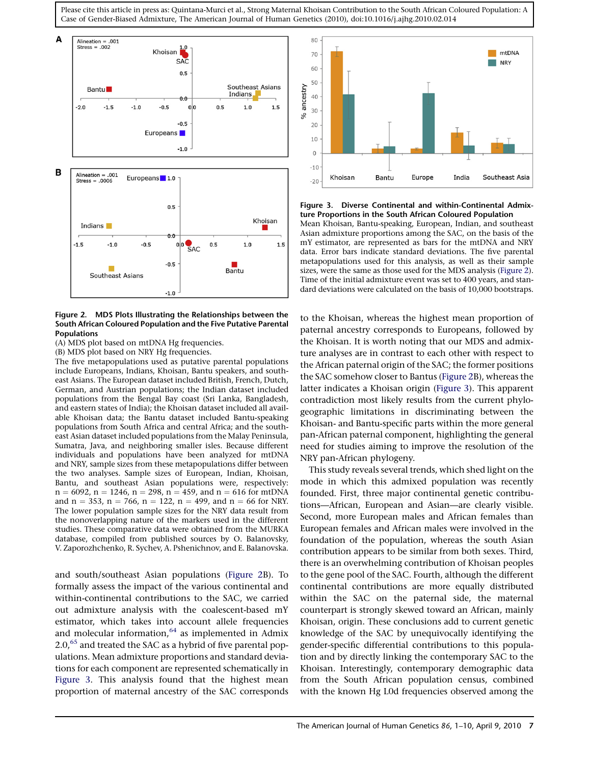<span id="page-6-0"></span>



#### Figure 2. MDS Plots Illustrating the Relationships between the South African Coloured Population and the Five Putative Parental Populations

(A) MDS plot based on mtDNA Hg frequencies.

(B) MDS plot based on NRY Hg frequencies.

The five metapopulations used as putative parental populations include Europeans, Indians, Khoisan, Bantu speakers, and southeast Asians. The European dataset included British, French, Dutch, German, and Austrian populations; the Indian dataset included populations from the Bengal Bay coast (Sri Lanka, Bangladesh, and eastern states of India); the Khoisan dataset included all available Khoisan data; the Bantu dataset included Bantu-speaking populations from South Africa and central Africa; and the southeast Asian dataset included populations from the Malay Peninsula, Sumatra, Java, and neighboring smaller isles. Because different individuals and populations have been analyzed for mtDNA and NRY, sample sizes from these metapopulations differ between the two analyses. Sample sizes of European, Indian, Khoisan, Bantu, and southeast Asian populations were, respectively:  $n = 6092$ ,  $n = 1246$ ,  $n = 298$ ,  $n = 459$ , and  $n = 616$  for mtDNA and  $n = 353$ ,  $n = 766$ ,  $n = 122$ ,  $n = 499$ , and  $n = 66$  for NRY. The lower population sample sizes for the NRY data result from the nonoverlapping nature of the markers used in the different studies. These comparative data were obtained from the MURKA database, compiled from published sources by O. Balanovsky, V. Zaporozhchenko, R. Sychev, A. Pshenichnov, and E. Balanovska.

and south/southeast Asian populations (Figure 2B). To formally assess the impact of the various continental and within-continental contributions to the SAC, we carried out admixture analysis with the coalescent-based mY estimator, which takes into account allele frequencies and molecular information, $64$  as implemented in Admix  $2.0<sup>65</sup>$  $2.0<sup>65</sup>$  $2.0<sup>65</sup>$  and treated the SAC as a hybrid of five parental populations. Mean admixture proportions and standard deviations for each component are represented schematically in Figure 3. This analysis found that the highest mean proportion of maternal ancestry of the SAC corresponds



Figure 3. Diverse Continental and within-Continental Admixture Proportions in the South African Coloured Population Mean Khoisan, Bantu-speaking, European, Indian, and southeast

Asian admixture proportions among the SAC, on the basis of the mY estimator, are represented as bars for the mtDNA and NRY data. Error bars indicate standard deviations. The five parental metapopulations used for this analysis, as well as their sample sizes, were the same as those used for the MDS analysis (Figure 2). Time of the initial admixture event was set to 400 years, and standard deviations were calculated on the basis of 10,000 bootstraps.

to the Khoisan, whereas the highest mean proportion of paternal ancestry corresponds to Europeans, followed by the Khoisan. It is worth noting that our MDS and admixture analyses are in contrast to each other with respect to the African paternal origin of the SAC; the former positions the SAC somehow closer to Bantus (Figure 2B), whereas the latter indicates a Khoisan origin (Figure 3). This apparent contradiction most likely results from the current phylogeographic limitations in discriminating between the Khoisan- and Bantu-specific parts within the more general pan-African paternal component, highlighting the general need for studies aiming to improve the resolution of the NRY pan-African phylogeny.

This study reveals several trends, which shed light on the mode in which this admixed population was recently founded. First, three major continental genetic contributions—African, European and Asian—are clearly visible. Second, more European males and African females than European females and African males were involved in the foundation of the population, whereas the south Asian contribution appears to be similar from both sexes. Third, there is an overwhelming contribution of Khoisan peoples to the gene pool of the SAC. Fourth, although the different continental contributions are more equally distributed within the SAC on the paternal side, the maternal counterpart is strongly skewed toward an African, mainly Khoisan, origin. These conclusions add to current genetic knowledge of the SAC by unequivocally identifying the gender-specific differential contributions to this population and by directly linking the contemporary SAC to the Khoisan. Interestingly, contemporary demographic data from the South African population census, combined with the known Hg L0d frequencies observed among the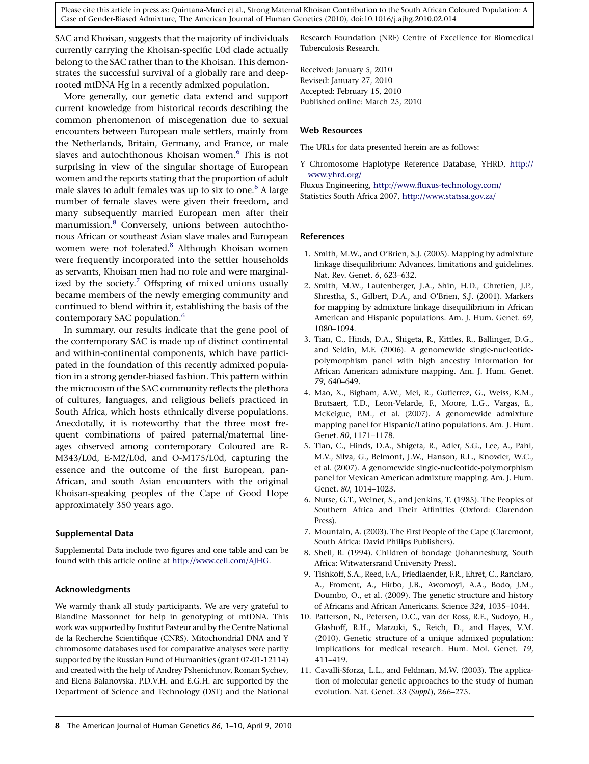<span id="page-7-0"></span>SAC and Khoisan, suggests that the majority of individuals currently carrying the Khoisan-specific L0d clade actually belong to the SAC rather than to the Khoisan. This demonstrates the successful survival of a globally rare and deeprooted mtDNA Hg in a recently admixed population.

More generally, our genetic data extend and support current knowledge from historical records describing the common phenomenon of miscegenation due to sexual encounters between European male settlers, mainly from the Netherlands, Britain, Germany, and France, or male slaves and autochthonous Khoisan women.<sup>6</sup> This is not surprising in view of the singular shortage of European women and the reports stating that the proportion of adult male slaves to adult females was up to six to one.<sup>6</sup> A large number of female slaves were given their freedom, and many subsequently married European men after their manumission.<sup>8</sup> Conversely, unions between autochthonous African or southeast Asian slave males and European women were not tolerated.<sup>8</sup> Although Khoisan women were frequently incorporated into the settler households as servants, Khoisan men had no role and were marginalized by the society.<sup>7</sup> Offspring of mixed unions usually became members of the newly emerging community and continued to blend within it, establishing the basis of the contemporary SAC population.<sup>6</sup>

In summary, our results indicate that the gene pool of the contemporary SAC is made up of distinct continental and within-continental components, which have participated in the foundation of this recently admixed population in a strong gender-biased fashion. This pattern within the microcosm of the SAC community reflects the plethora of cultures, languages, and religious beliefs practiced in South Africa, which hosts ethnically diverse populations. Anecdotally, it is noteworthy that the three most frequent combinations of paired paternal/maternal lineages observed among contemporary Coloured are R-M343/L0d, E-M2/L0d, and O-M175/L0d, capturing the essence and the outcome of the first European, pan-African, and south Asian encounters with the original Khoisan-speaking peoples of the Cape of Good Hope approximately 350 years ago.

#### Supplemental Data

Supplemental Data include two figures and one table and can be found with this article online at <http://www.cell.com/AJHG>.

### Acknowledgments

We warmly thank all study participants. We are very grateful to Blandine Massonnet for help in genotyping of mtDNA. This work was supported by Institut Pasteur and by the Centre National de la Recherche Scientifique (CNRS). Mitochondrial DNA and Y chromosome databases used for comparative analyses were partly supported by the Russian Fund of Humanities (grant 07-01-12114) and created with the help of Andrey Pshenichnov, Roman Sychev, and Elena Balanovska. P.D.V.H. and E.G.H. are supported by the Department of Science and Technology (DST) and the National

Research Foundation (NRF) Centre of Excellence for Biomedical Tuberculosis Research.

Received: January 5, 2010 Revised: January 27, 2010 Accepted: February 15, 2010 Published online: March 25, 2010

#### Web Resources

The URLs for data presented herein are as follows:

Y Chromosome Haplotype Reference Database, YHRD, [http://](http://www.yhrd.org/) [www.yhrd.org/](http://www.yhrd.org/)

Fluxus Engineering, <http://www.fluxus-technology.com/> Statistics South Africa 2007, <http://www.statssa.gov.za/>

#### References

- 1. Smith, M.W., and O'Brien, S.J. (2005). Mapping by admixture linkage disequilibrium: Advances, limitations and guidelines. Nat. Rev. Genet. 6, 623–632.
- 2. Smith, M.W., Lautenberger, J.A., Shin, H.D., Chretien, J.P., Shrestha, S., Gilbert, D.A., and O'Brien, S.J. (2001). Markers for mapping by admixture linkage disequilibrium in African American and Hispanic populations. Am. J. Hum. Genet. 69, 1080–1094.
- 3. Tian, C., Hinds, D.A., Shigeta, R., Kittles, R., Ballinger, D.G., and Seldin, M.F. (2006). A genomewide single-nucleotidepolymorphism panel with high ancestry information for African American admixture mapping. Am. J. Hum. Genet. 79, 640–649.
- 4. Mao, X., Bigham, A.W., Mei, R., Gutierrez, G., Weiss, K.M., Brutsaert, T.D., Leon-Velarde, F., Moore, L.G., Vargas, E., McKeigue, P.M., et al. (2007). A genomewide admixture mapping panel for Hispanic/Latino populations. Am. J. Hum. Genet. 80, 1171–1178.
- 5. Tian, C., Hinds, D.A., Shigeta, R., Adler, S.G., Lee, A., Pahl, M.V., Silva, G., Belmont, J.W., Hanson, R.L., Knowler, W.C., et al. (2007). A genomewide single-nucleotide-polymorphism panel for Mexican American admixture mapping. Am. J. Hum. Genet. 80, 1014–1023.
- 6. Nurse, G.T., Weiner, S., and Jenkins, T. (1985). The Peoples of Southern Africa and Their Affinities (Oxford: Clarendon Press).
- 7. Mountain, A. (2003). The First People of the Cape (Claremont, South Africa: David Philips Publishers).
- 8. Shell, R. (1994). Children of bondage (Johannesburg, South Africa: Witwatersrand University Press).
- 9. Tishkoff, S.A., Reed, F.A., Friedlaender, F.R., Ehret, C., Ranciaro, A., Froment, A., Hirbo, J.B., Awomoyi, A.A., Bodo, J.M., Doumbo, O., et al. (2009). The genetic structure and history of Africans and African Americans. Science 324, 1035–1044.
- 10. Patterson, N., Petersen, D.C., van der Ross, R.E., Sudoyo, H., Glashoff, R.H., Marzuki, S., Reich, D., and Hayes, V.M. (2010). Genetic structure of a unique admixed population: Implications for medical research. Hum. Mol. Genet. 19, 411–419.
- 11. Cavalli-Sforza, L.L., and Feldman, M.W. (2003). The application of molecular genetic approaches to the study of human evolution. Nat. Genet. 33 (Suppl), 266–275.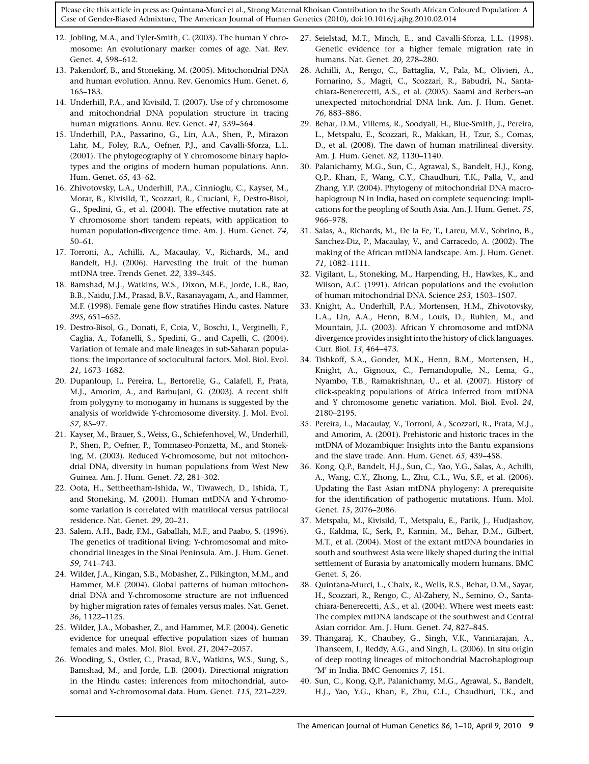- <span id="page-8-0"></span>12. Jobling, M.A., and Tyler-Smith, C. (2003). The human Y chromosome: An evolutionary marker comes of age. Nat. Rev. Genet. 4, 598–612.
- 13. Pakendorf, B., and Stoneking, M. (2005). Mitochondrial DNA and human evolution. Annu. Rev. Genomics Hum. Genet. 6, 165–183.
- 14. Underhill, P.A., and Kivisild, T. (2007). Use of y chromosome and mitochondrial DNA population structure in tracing human migrations. Annu. Rev. Genet. 41, 539–564.
- 15. Underhill, P.A., Passarino, G., Lin, A.A., Shen, P., Mirazon Lahr, M., Foley, R.A., Oefner, P.J., and Cavalli-Sforza, L.L. (2001). The phylogeography of Y chromosome binary haplotypes and the origins of modern human populations. Ann. Hum. Genet. 65, 43–62.
- 16. Zhivotovsky, L.A., Underhill, P.A., Cinnioglu, C., Kayser, M., Morar, B., Kivisild, T., Scozzari, R., Cruciani, F., Destro-Bisol, G., Spedini, G., et al. (2004). The effective mutation rate at Y chromosome short tandem repeats, with application to human population-divergence time. Am. J. Hum. Genet. 74, 50–61.
- 17. Torroni, A., Achilli, A., Macaulay, V., Richards, M., and Bandelt, H.J. (2006). Harvesting the fruit of the human mtDNA tree. Trends Genet. 22, 339–345.
- 18. Bamshad, M.J., Watkins, W.S., Dixon, M.E., Jorde, L.B., Rao, B.B., Naidu, J.M., Prasad, B.V., Rasanayagam, A., and Hammer, M.F. (1998). Female gene flow stratifies Hindu castes. Nature 395, 651–652.
- 19. Destro-Bisol, G., Donati, F., Coia, V., Boschi, I., Verginelli, F., Caglia, A., Tofanelli, S., Spedini, G., and Capelli, C. (2004). Variation of female and male lineages in sub-Saharan populations: the importance of sociocultural factors. Mol. Biol. Evol. 21, 1673–1682.
- 20. Dupanloup, I., Pereira, L., Bertorelle, G., Calafell, F., Prata, M.J., Amorim, A., and Barbujani, G. (2003). A recent shift from polygyny to monogamy in humans is suggested by the analysis of worldwide Y-chromosome diversity. J. Mol. Evol. 57, 85–97.
- 21. Kayser, M., Brauer, S., Weiss, G., Schiefenhovel, W., Underhill, P., Shen, P., Oefner, P., Tommaseo-Ponzetta, M., and Stoneking, M. (2003). Reduced Y-chromosome, but not mitochondrial DNA, diversity in human populations from West New Guinea. Am. J. Hum. Genet. 72, 281–302.
- 22. Oota, H., Settheetham-Ishida, W., Tiwawech, D., Ishida, T., and Stoneking, M. (2001). Human mtDNA and Y-chromosome variation is correlated with matrilocal versus patrilocal residence. Nat. Genet. 29, 20–21.
- 23. Salem, A.H., Badr, F.M., Gaballah, M.F., and Paabo, S. (1996). The genetics of traditional living: Y-chromosomal and mitochondrial lineages in the Sinai Peninsula. Am. J. Hum. Genet. 59, 741–743.
- 24. Wilder, J.A., Kingan, S.B., Mobasher, Z., Pilkington, M.M., and Hammer, M.F. (2004). Global patterns of human mitochondrial DNA and Y-chromosome structure are not influenced by higher migration rates of females versus males. Nat. Genet. 36, 1122–1125.
- 25. Wilder, J.A., Mobasher, Z., and Hammer, M.F. (2004). Genetic evidence for unequal effective population sizes of human females and males. Mol. Biol. Evol. 21, 2047–2057.
- 26. Wooding, S., Ostler, C., Prasad, B.V., Watkins, W.S., Sung, S., Bamshad, M., and Jorde, L.B. (2004). Directional migration in the Hindu castes: inferences from mitochondrial, autosomal and Y-chromosomal data. Hum. Genet. 115, 221–229.
- 27. Seielstad, M.T., Minch, E., and Cavalli-Sforza, L.L. (1998). Genetic evidence for a higher female migration rate in humans. Nat. Genet. 20, 278–280.
- 28. Achilli, A., Rengo, C., Battaglia, V., Pala, M., Olivieri, A., Fornarino, S., Magri, C., Scozzari, R., Babudri, N., Santachiara-Benerecetti, A.S., et al. (2005). Saami and Berbers–an unexpected mitochondrial DNA link. Am. J. Hum. Genet. 76, 883–886.
- 29. Behar, D.M., Villems, R., Soodyall, H., Blue-Smith, J., Pereira, L., Metspalu, E., Scozzari, R., Makkan, H., Tzur, S., Comas, D., et al. (2008). The dawn of human matrilineal diversity. Am. J. Hum. Genet. 82, 1130–1140.
- 30. Palanichamy, M.G., Sun, C., Agrawal, S., Bandelt, H.J., Kong, Q.P., Khan, F., Wang, C.Y., Chaudhuri, T.K., Palla, V., and Zhang, Y.P. (2004). Phylogeny of mitochondrial DNA macrohaplogroup N in India, based on complete sequencing: implications for the peopling of South Asia. Am. J. Hum. Genet. 75, 966–978.
- 31. Salas, A., Richards, M., De la Fe, T., Lareu, M.V., Sobrino, B., Sanchez-Diz, P., Macaulay, V., and Carracedo, A. (2002). The making of the African mtDNA landscape. Am. J. Hum. Genet. 71, 1082–1111.
- 32. Vigilant, L., Stoneking, M., Harpending, H., Hawkes, K., and Wilson, A.C. (1991). African populations and the evolution of human mitochondrial DNA. Science 253, 1503–1507.
- 33. Knight, A., Underhill, P.A., Mortensen, H.M., Zhivotovsky, L.A., Lin, A.A., Henn, B.M., Louis, D., Ruhlen, M., and Mountain, J.L. (2003). African Y chromosome and mtDNA divergence provides insight into the history of click languages. Curr. Biol. 13, 464–473.
- 34. Tishkoff, S.A., Gonder, M.K., Henn, B.M., Mortensen, H., Knight, A., Gignoux, C., Fernandopulle, N., Lema, G., Nyambo, T.B., Ramakrishnan, U., et al. (2007). History of click-speaking populations of Africa inferred from mtDNA and Y chromosome genetic variation. Mol. Biol. Evol. 24, 2180–2195.
- 35. Pereira, L., Macaulay, V., Torroni, A., Scozzari, R., Prata, M.J., and Amorim, A. (2001). Prehistoric and historic traces in the mtDNA of Mozambique: Insights into the Bantu expansions and the slave trade. Ann. Hum. Genet. 65, 439–458.
- 36. Kong, Q.P., Bandelt, H.J., Sun, C., Yao, Y.G., Salas, A., Achilli, A., Wang, C.Y., Zhong, L., Zhu, C.L., Wu, S.F., et al. (2006). Updating the East Asian mtDNA phylogeny: A prerequisite for the identification of pathogenic mutations. Hum. Mol. Genet. 15, 2076–2086.
- 37. Metspalu, M., Kivisild, T., Metspalu, E., Parik, J., Hudjashov, G., Kaldma, K., Serk, P., Karmin, M., Behar, D.M., Gilbert, M.T., et al. (2004). Most of the extant mtDNA boundaries in south and southwest Asia were likely shaped during the initial settlement of Eurasia by anatomically modern humans. BMC Genet. 5, 26.
- 38. Quintana-Murci, L., Chaix, R., Wells, R.S., Behar, D.M., Sayar, H., Scozzari, R., Rengo, C., Al-Zahery, N., Semino, O., Santachiara-Benerecetti, A.S., et al. (2004). Where west meets east: The complex mtDNA landscape of the southwest and Central Asian corridor. Am. J. Hum. Genet. 74, 827–845.
- 39. Thangaraj, K., Chaubey, G., Singh, V.K., Vanniarajan, A., Thanseem, I., Reddy, A.G., and Singh, L. (2006). In situ origin of deep rooting lineages of mitochondrial Macrohaplogroup 'M' in India. BMC Genomics 7, 151.
- 40. Sun, C., Kong, Q.P., Palanichamy, M.G., Agrawal, S., Bandelt, H.J., Yao, Y.G., Khan, F., Zhu, C.L., Chaudhuri, T.K., and